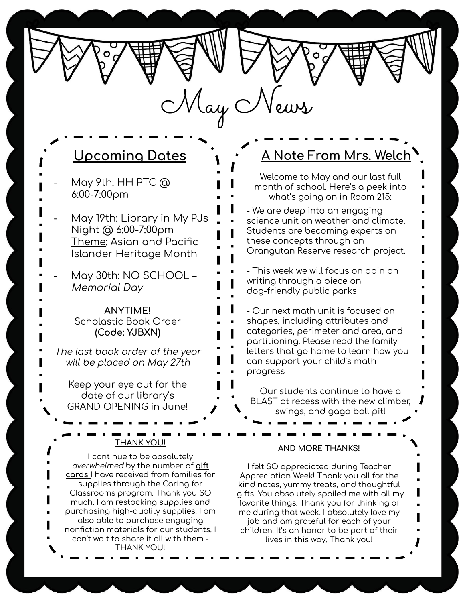$M$ ay  $C$ 

- May 9th: HH PTC @ 6:00-7:00pm
- May 19th: Library in My PJs Night @ 6:00-7:00pm Theme: Asian and Pacific Islander Heritage Month
- May 30th: NO SCHOOL Memorial Day

**ANYTIME!** Scholastic Book Order **(Code: YJBXN)**

The last book order of the year will be placed on May 27th

Keep your eye out for the date of our library's GRAND OPENING in June!

## **THANK YOU!**

I continue to be absolutely overwhelmed by the number of **<u>aift</u> cards** I have received from families for supplies through the Caring for Classrooms program. Thank you SO much. I am restocking supplies and purchasing high-quality supplies. I am also able to purchase engaging nonfiction materials ÿor our students. I can't wait to share it all with them - THANK YOU!

# **Upcoming Dates A Constanting Dates A Note From Mrs. Welch**

Welcome to May and our last full month of school. Here's a peek into what's going on in Room 215:

- We are deep into an engaging science unit on weather and climate. Students are becoming experts on these concepts through an Orangutan Reserve research project.

- This week we will focus on opinion writing through a piece on dog-friendly public parks

- Our next math unit is ÿocused on shapes, including attributes and categories, perimeter and area, and partitioning. Please read the family letters that go home to learn how you can support your child's math progress

Our students continue to have a BLAST at recess with the new climber, swings, and gaga ball pit!

### **AND MORE THANKS!**

I felt SO appreciated during Teacher Appreciation Week! Thank you all for the kind notes, yummy treats, and thoughtful gifts. You absolutely spoiled me with all my favorite things. Thank you for thinking of me during that week. I absolutely love my job and am grateful for each of your children. It's an honor to be part of their lives in this way. Thank you!